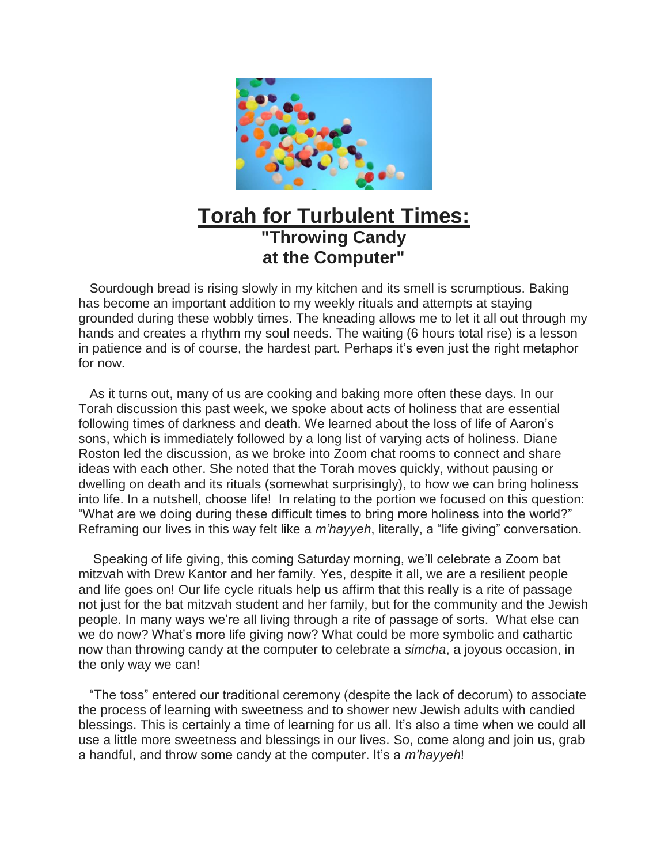

## **Torah for Turbulent Times: "Throwing Candy at the Computer"**

Sourdough bread is rising slowly in my kitchen and its smell is scrumptious. Baking has become an important addition to my weekly rituals and attempts at staying grounded during these wobbly times. The kneading allows me to let it all out through my hands and creates a rhythm my soul needs. The waiting (6 hours total rise) is a lesson in patience and is of course, the hardest part. Perhaps it's even just the right metaphor for now.

As it turns out, many of us are cooking and baking more often these days. In our Torah discussion this past week, we spoke about acts of holiness that are essential following times of darkness and death. We learned about the loss of life of Aaron's sons, which is immediately followed by a long list of varying acts of holiness. Diane Roston led the discussion, as we broke into Zoom chat rooms to connect and share ideas with each other. She noted that the Torah moves quickly, without pausing or dwelling on death and its rituals (somewhat surprisingly), to how we can bring holiness into life. In a nutshell, choose life! In relating to the portion we focused on this question: "What are we doing during these difficult times to bring more holiness into the world?" Reframing our lives in this way felt like a *m'hayyeh*, literally, a "life giving" conversation.

Speaking of life giving, this coming Saturday morning, we'll celebrate a Zoom bat mitzvah with Drew Kantor and her family. Yes, despite it all, we are a resilient people and life goes on! Our life cycle rituals help us affirm that this really is a rite of passage not just for the bat mitzvah student and her family, but for the community and the Jewish people. In many ways we're all living through a rite of passage of sorts. What else can we do now? What's more life giving now? What could be more symbolic and cathartic now than throwing candy at the computer to celebrate a *simcha*, a joyous occasion, in the only way we can!

"The toss" entered our traditional ceremony (despite the lack of decorum) to associate the process of learning with sweetness and to shower new Jewish adults with candied blessings. This is certainly a time of learning for us all. It's also a time when we could all use a little more sweetness and blessings in our lives. So, come along and join us, grab a handful, and throw some candy at the computer. It's a *m'hayyeh*!